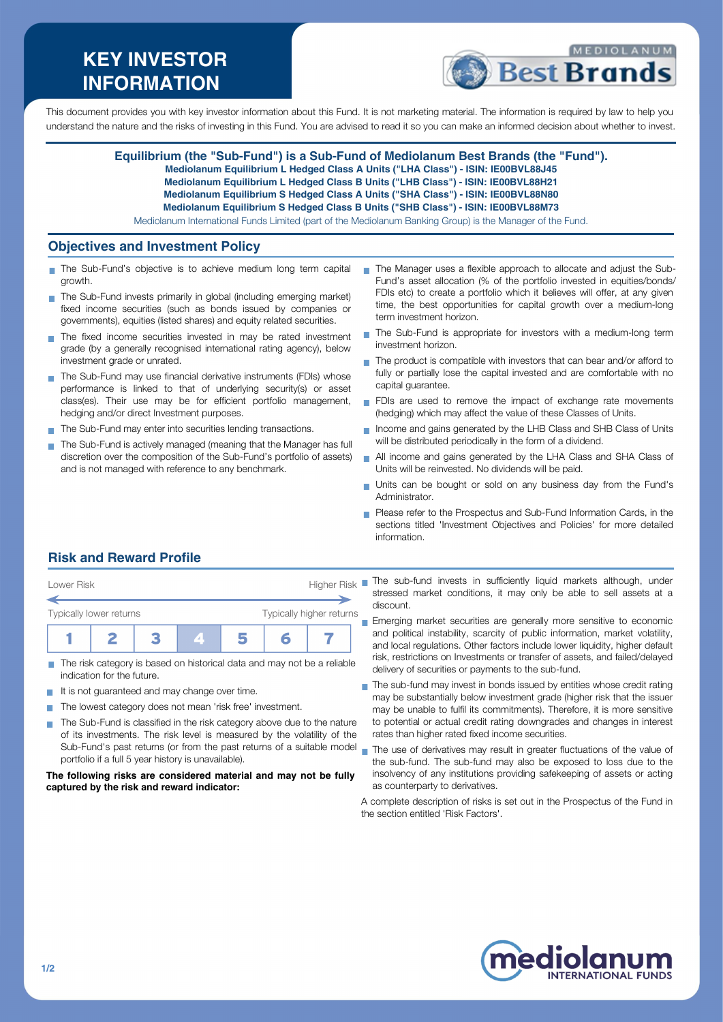# **KEY INVESTOR INFORMATION**



This document provides you with key investor information about this Fund. It is not marketing material. The information is required by law to help you understand the nature and the risks of investing in this Fund. You are advised to read it so you can make an informed decision about whether to invest.

> **Equilibrium (the "Sub-Fund") is a Sub-Fund of Mediolanum Best Brands (the "Fund"). Mediolanum Equilibrium L Hedged Class A Units ("LHA Class") - ISIN: IE00BVL88J45 Mediolanum Equilibrium L Hedged Class B Units ("LHB Class") - ISIN: IE00BVL88H21 Mediolanum Equilibrium S Hedged Class A Units ("SHA Class") - ISIN: IE00BVL88N80 Mediolanum Equilibrium S Hedged Class B Units ("SHB Class") - ISIN: IE00BVL88M73** Mediolanum International Funds Limited (part of the Mediolanum Banking Group) is the Manager of the Fund.

### **Objectives and Investment Policy**

- The Sub-Fund's objective is to achieve medium long term capital growth.
- The Sub-Fund invests primarily in global (including emerging market) fixed income securities (such as bonds issued by companies or governments), equities (listed shares) and equity related securities.
- The fixed income securities invested in may be rated investment grade (by a generally recognised international rating agency), below investment grade or unrated.
- The Sub-Fund may use financial derivative instruments (FDIs) whose performance is linked to that of underlying security(s) or asset class(es). Their use may be for efficient portfolio management, hedging and/or direct Investment purposes.
- The Sub-Fund may enter into securities lending transactions.
- The Sub-Fund is actively managed (meaning that the Manager has full discretion over the composition of the Sub-Fund's portfolio of assets) and is not managed with reference to any benchmark.
- The Manager uses a flexible approach to allocate and adjust the Sub-Fund's asset allocation (% of the portfolio invested in equities/bonds/ FDIs etc) to create a portfolio which it believes will offer, at any given time, the best opportunities for capital growth over a medium-long term investment horizon.
- The Sub-Fund is appropriate for investors with a medium-long term п investment horizon.
- The product is compatible with investors that can bear and/or afford to fully or partially lose the capital invested and are comfortable with no capital guarantee.
- FDIs are used to remove the impact of exchange rate movements (hedging) which may affect the value of these Classes of Units.
- Income and gains generated by the LHB Class and SHB Class of Units will be distributed periodically in the form of a dividend.
- All income and gains generated by the LHA Class and SHA Class of m. Units will be reinvested. No dividends will be paid.
- Units can be bought or sold on any business day from the Fund's  $\overline{\phantom{a}}$ Administrator.
- Please refer to the Prospectus and Sub-Fund Information Cards, in the sections titled 'Investment Objectives and Policies' for more detailed information.

# **Risk and Reward Profile**

| Lower Risk                                          |  |  |  | <b>Higher Risk</b> |  |  |  |
|-----------------------------------------------------|--|--|--|--------------------|--|--|--|
| Typically higher returns<br>Typically lower returns |  |  |  |                    |  |  |  |
|                                                     |  |  |  |                    |  |  |  |

- The risk category is based on historical data and may not be a reliable indication for the future.
- It is not guaranteed and may change over time. **The Co**
- The lowest category does not mean 'risk free' investment.  $\mathcal{C}^{\mathcal{A}}$
- The Sub-Fund is classified in the risk category above due to the nature  $\sim$ of its investments. The risk level is measured by the volatility of the Sub-Fund's past returns (or from the past returns of a suitable model portfolio if a full 5 year history is unavailable).

#### **The following risks are considered material and may not be fully captured by the risk and reward indicator:**

The sub-fund invests in sufficiently liquid markets although, under stressed market conditions, it may only be able to sell assets at a discount.

**Emerging market securities are generally more sensitive to economic** and political instability, scarcity of public information, market volatility, and local regulations. Other factors include lower liquidity, higher default risk, restrictions on Investments or transfer of assets, and failed/delayed delivery of securities or payments to the sub-fund.

- The sub-fund may invest in bonds issued by entities whose credit rating may be substantially below investment grade (higher risk that the issuer may be unable to fulfil its commitments). Therefore, it is more sensitive to potential or actual credit rating downgrades and changes in interest rates than higher rated fixed income securities.
- The use of derivatives may result in greater fluctuations of the value of the sub-fund. The sub-fund may also be exposed to loss due to the insolvency of any institutions providing safekeeping of assets or acting as counterparty to derivatives.
- A complete description of risks is set out in the Prospectus of the Fund in the section entitled 'Risk Factors'.